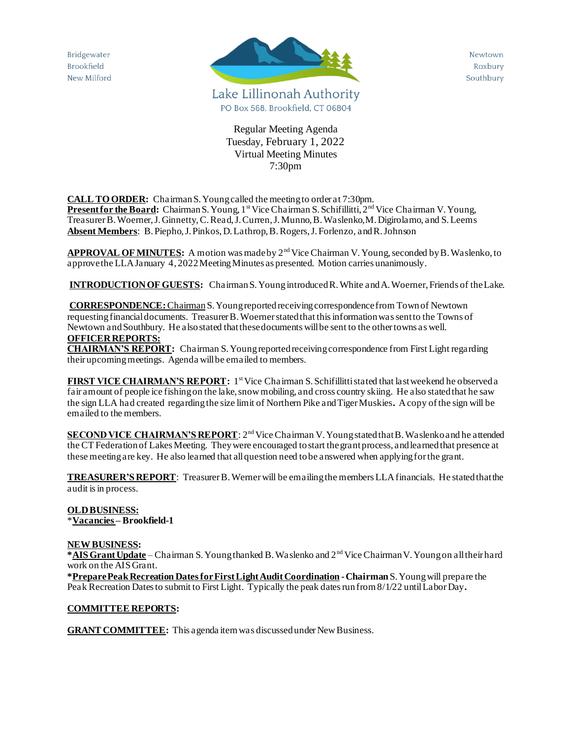Bridgewater Brookfield New Milford



Newtown Roxbury Southbury

Regular Meeting Agenda Tuesday, February 1, 2022 Virtual Meeting Minutes 7:30pm

**CALL TO ORDER:** Chairman S. Young called the meeting to order at 7:30pm.

**Present for the Board:** Chairman S. Young, 1<sup>st</sup> Vice Chairman S. Schifillitti, 2<sup>nd</sup> Vice Chairman V. Young, Treasurer B. Woerner, J. Ginnetty, C. Read, J. Curren, J. Munno, B. Waslenko,M. Digirolamo, and S. Leems **Absent Members**: B. Piepho, J. Pinkos, D. Lathrop, B. Rogers, J. Forlenzo, and R. Johnson

**APPROVAL OF MINUTES:** A motion was made by 2nd Vice Chairman V. Young, seconded by B. Waslenko, to approve the LLA January 4, 2022 Meeting Minutes as presented. Motion carries unanimously.

**INTRODUCTION OF GUESTS:** Chairman S. Young introduced R. White and A. Woerner, Friends of the Lake.

#### **CORRESPONDENCE:**ChairmanS. Young reported receiving correspondence from Town of Newtown requesting financial documents. Treasurer B. Woerner stated that thisinformation was sent to the Towns of Newtown and Southbury. He also stated that these documents will be sent to the other towns as well. **OFFICER REPORTS:**

**CHAIRMAN'S REPORT:** Chairman S. Young reported receiving correspondence from First Light regarding their upcoming meetings. Agenda will be emailed to members.

**FIRST VICE CHAIRMAN'S REPORT:** 1<sup>st</sup> Vice Chairman S. Schifillitti stated that last weekend he observed a fair amount of people ice fishing on the lake, snow mobiling, and cross country skiing. He also stated that he saw the sign LLA had created regarding the size limit of Northern Pike and Tiger Muskies**.** A copy of the sign will be emailed to the members.

**SECOND VICE CHAIRMAN'S REPORT**: 2<sup>nd</sup> Vice Chairman V. Young stated that B. Waslenko and he attended the CT Federation of Lakes Meeting. They were encouraged to start the grant process, and learned that presence at these meeting are key. He also learned that all question need to be answered when applying for the grant.

**TREASURER'SREPORT**: Treasurer B. Wernerwill be emailing the members LLA financials. He stated that the audit is in process.

## **OLD BUSINESS:** \***Vacancies – Brookfield-1**

### **NEW BUSINESS:**

**\*AIS Grant Update** – Chairman S. Young thanked B. Waslenko and 2<sup>nd</sup> Vice Chairman V. Young on all their hard work on the AIS Grant.

**\*Prepare Peak Recreation Dates for First Light Audit Coordination -Chairman** S. Young will prepare the Peak Recreation Dates to submit to First Light. Typically the peak dates run from 8/1/22 until Labor Day**.**

### **COMMITTEE REPORTS:**

**GRANT COMMITTEE:** This agenda item was discussed under New Business.